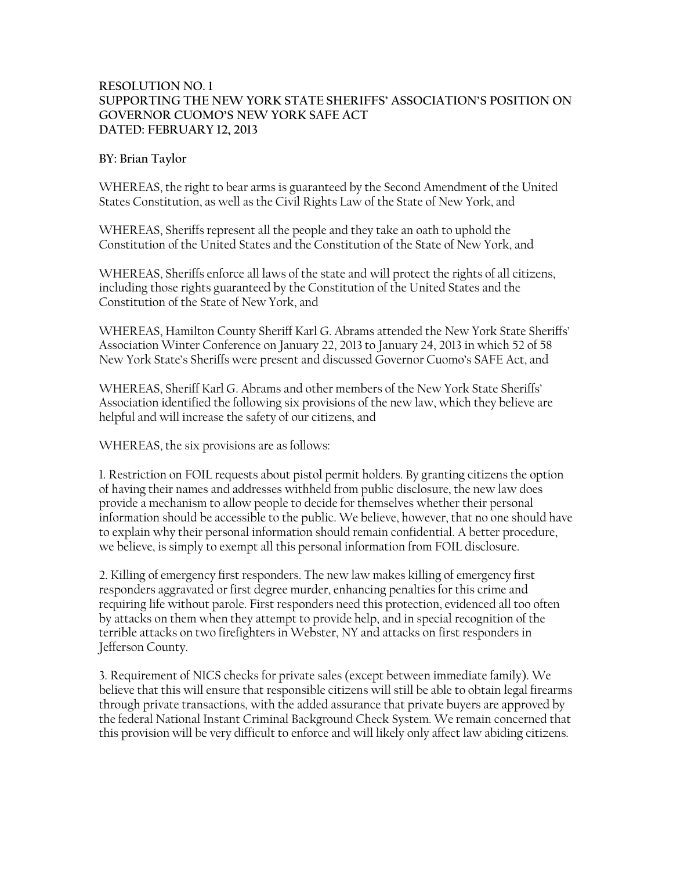## **RESOLUTION NO. 1 SUPPORTING THE NEW YORK STATE SHERIFFS' ASSOCIATION'S POSITION ON GOVERNOR CUOMO'S NEW YORK SAFE ACT DATED: FEBRUARY 12, 2013**

## **BY: Brian Taylor**

WHEREAS, the right to bear arms is guaranteed by the Second Amendment of the United States Constitution, as well as the Civil Rights Law of the State of New York, and

WHEREAS, Sheriffs represent all the people and they take an oath to uphold the Constitution of the United States and the Constitution of the State of New York, and

WHEREAS, Sheriffs enforce all laws of the state and will protect the rights of all citizens, including those rights guaranteed by the Constitution of the United States and the Constitution of the State of New York, and

WHEREAS, Hamilton County Sheriff Karl G. Abrams attended the New York State Sheriffs' Association Winter Conference on January 22, 2013 to January 24, 2013 in which 52 of 58 New York State's Sheriffs were present and discussed Governor Cuomo's SAFE Act, and

WHEREAS, Sheriff Karl G. Abrams and other members of the New York State Sheriffs' Association identified the following six provisions of the new law, which they believe are helpful and will increase the safety of our citizens, and

WHEREAS, the six provisions are as follows:

1. Restriction on FOIL requests about pistol permit holders. By granting citizens the option of having their names and addresses withheld from public disclosure, the new law does provide a mechanism to allow people to decide for themselves whether their personal information should be accessible to the public. We believe, however, that no one should have to explain why their personal information should remain confidential. A better procedure, we believe, is simply to exempt all this personal information from FOIL disclosure.

2. Killing of emergency first responders. The new law makes killing of emergency first responders aggravated or first degree murder, enhancing penalties for this crime and requiring life without parole. First responders need this protection, evidenced all too often by attacks on them when they attempt to provide help, and in special recognition of the terrible attacks on two firefighters in Webster, NY and attacks on first responders in Jefferson County.

3. Requirement of NICS checks for private sales (except between immediate family). We believe that this will ensure that responsible citizens will still be able to obtain legal firearms through private transactions, with the added assurance that private buyers are approved by the federal National Instant Criminal Background Check System. We remain concerned that this provision will be very difficult to enforce and will likely only affect law abiding citizens.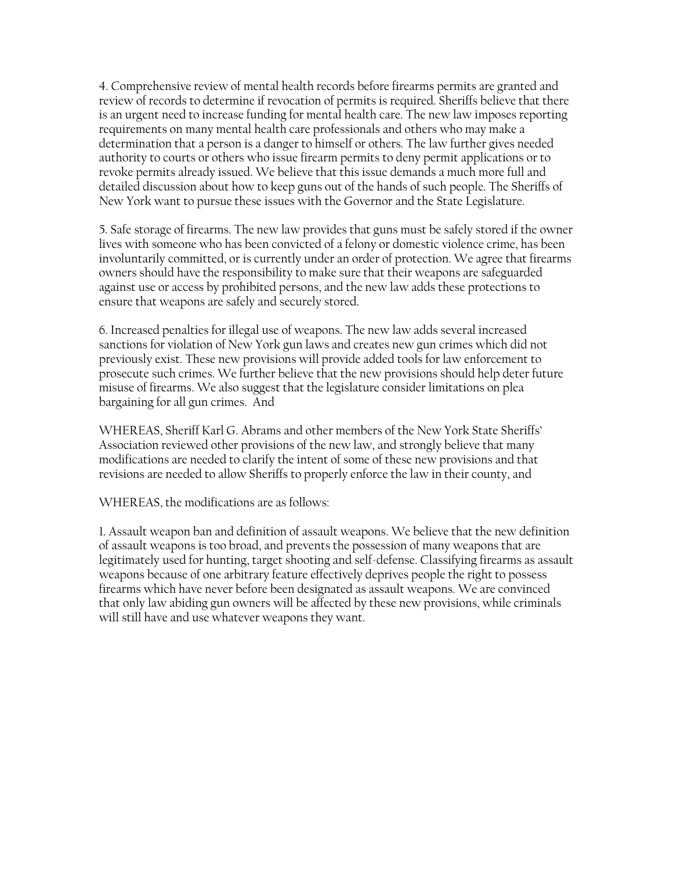4. Comprehensive review of mental health records before firearms permits are granted and review of records to determine if revocation of permits is required. Sheriffs believe that there is an urgent need to increase funding for mental health care. The new law imposes reporting requirements on many mental health care professionals and others who may make a determination that a person is a danger to himself or others. The law further gives needed authority to courts or others who issue firearm permits to deny permit applications or to revoke permits already issued. We believe that this issue demands a much more full and detailed discussion about how to keep guns out of the hands of such people. The Sheriffs of New York want to pursue these issues with the Governor and the State Legislature.

5. Safe storage of firearms. The new law provides that guns must be safely stored if the owner lives with someone who has been convicted of a felony or domestic violence crime, has been involuntarily committed, or is currently under an order of protection. We agree that firearms owners should have the responsibility to make sure that their weapons are safeguarded against use or access by prohibited persons, and the new law adds these protections to ensure that weapons are safely and securely stored.

6. Increased penalties for illegal use of weapons. The new law adds several increased sanctions for violation of New York gun laws and creates new gun crimes which did not previously exist. These new provisions will provide added tools for law enforcement to prosecute such crimes. We further believe that the new provisions should help deter future misuse of firearms. We also suggest that the legislature consider limitations on plea bargaining for all gun crimes. And

WHEREAS, Sheriff Karl G. Abrams and other members of the New York State Sheriffs' Association reviewed other provisions of the new law, and strongly believe that many modifications are needed to clarify the intent of some of these new provisions and that revisions are needed to allow Sheriffs to properly enforce the law in their county, and

WHEREAS, the modifications are as follows:

1. Assault weapon ban and definition of assault weapons. We believe that the new definition of assault weapons is too broad, and prevents the possession of many weapons that are legitimately used for hunting, target shooting and self-defense. Classifying firearms as assault weapons because of one arbitrary feature effectively deprives people the right to possess firearms which have never before been designated as assault weapons. We are convinced that only law abiding gun owners will be affected by these new provisions, while criminals will still have and use whatever weapons they want.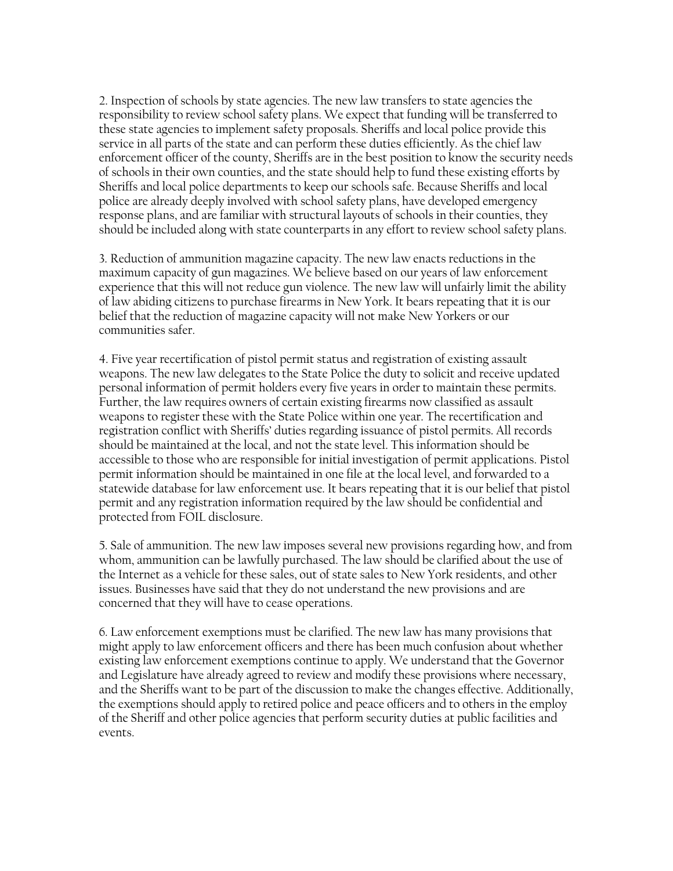2. Inspection of schools by state agencies. The new law transfers to state agencies the responsibility to review school safety plans. We expect that funding will be transferred to these state agencies to implement safety proposals. Sheriffs and local police provide this service in all parts of the state and can perform these duties efficiently. As the chief law enforcement officer of the county, Sheriffs are in the best position to know the security needs of schools in their own counties, and the state should help to fund these existing efforts by Sheriffs and local police departments to keep our schools safe. Because Sheriffs and local police are already deeply involved with school safety plans, have developed emergency response plans, and are familiar with structural layouts of schools in their counties, they should be included along with state counterparts in any effort to review school safety plans.

3. Reduction of ammunition magazine capacity. The new law enacts reductions in the maximum capacity of gun magazines. We believe based on our years of law enforcement experience that this will not reduce gun violence. The new law will unfairly limit the ability of law abiding citizens to purchase firearms in New York. It bears repeating that it is our belief that the reduction of magazine capacity will not make New Yorkers or our communities safer.

4. Five year recertification of pistol permit status and registration of existing assault weapons. The new law delegates to the State Police the duty to solicit and receive updated personal information of permit holders every five years in order to maintain these permits. Further, the law requires owners of certain existing firearms now classified as assault weapons to register these with the State Police within one year. The recertification and registration conflict with Sheriffs' duties regarding issuance of pistol permits. All records should be maintained at the local, and not the state level. This information should be accessible to those who are responsible for initial investigation of permit applications. Pistol permit information should be maintained in one file at the local level, and forwarded to a statewide database for law enforcement use. It bears repeating that it is our belief that pistol permit and any registration information required by the law should be confidential and protected from FOIL disclosure.

5. Sale of ammunition. The new law imposes several new provisions regarding how, and from whom, ammunition can be lawfully purchased. The law should be clarified about the use of the Internet as a vehicle for these sales, out of state sales to New York residents, and other issues. Businesses have said that they do not understand the new provisions and are concerned that they will have to cease operations.

6. Law enforcement exemptions must be clarified. The new law has many provisions that might apply to law enforcement officers and there has been much confusion about whether existing law enforcement exemptions continue to apply. We understand that the Governor and Legislature have already agreed to review and modify these provisions where necessary, and the Sheriffs want to be part of the discussion to make the changes effective. Additionally, the exemptions should apply to retired police and peace officers and to others in the employ of the Sheriff and other police agencies that perform security duties at public facilities and events.